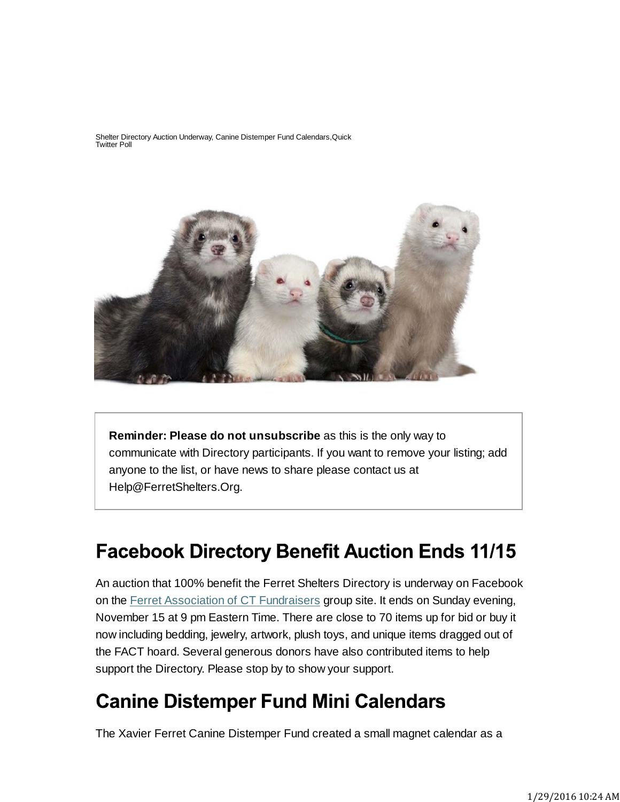Shelter Directory Auction Underway, Canine Distemper Fund Calendars,Quick Twitter Poll



**Reminder: Please do not unsubscribe** as this is the only way to communicate with Directory participants. If you want to remove your listing; add anyone to the list, or have news to share please contact us at Help@FerretShelters.Org.

## **Facebook Directory Benefit Auction Ends 11/15**

An auction that 100% benefit the Ferret Shelters Directory is underway on Facebook on the Ferret Association of CT Fundraisers group site. It ends on Sunday evening, November 15 at 9 pm Eastern Time. There are close to 70 items up for bid or buy it now including bedding, jewelry, artwork, plush toys, and unique items dragged out of the FACT hoard. Several generous donors have also contributed items to help support the Directory. Please stop by to show your support.

## **Canine Distemper Fund Mini Calendars**

The Xavier Ferret Canine Distemper Fund created a small magnet calendar as a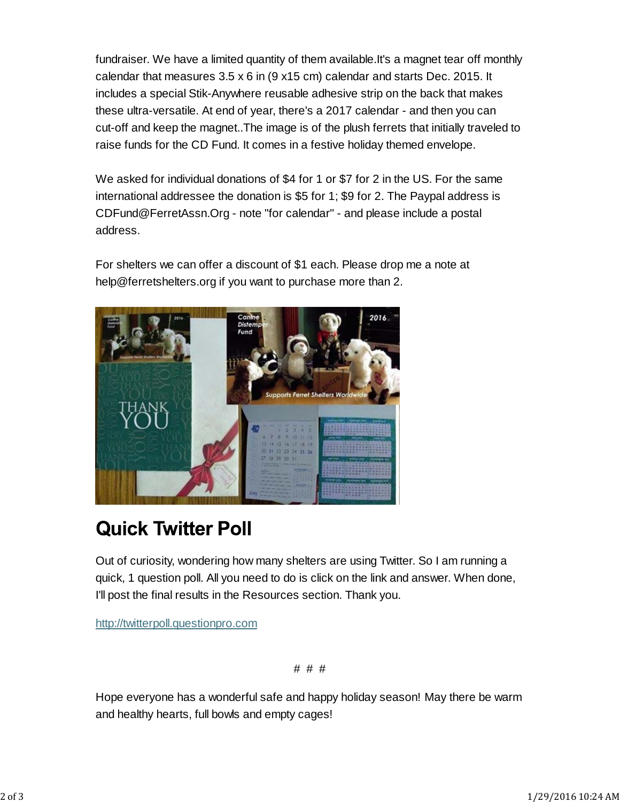fundraiser. We have a limited quantity of them available.It's a magnet tear off monthly calendar that measures 3.5 x 6 in (9 x15 cm) calendar and starts Dec. 2015. It includes a special Stik-Anywhere reusable adhesive strip on the back that makes these ultra-versatile. At end of year, there's a 2017 calendar - and then you can cut-off and keep the magnet..The image is of the plush ferrets that initially traveled to raise funds for the CD Fund. It comes in a festive holiday themed envelope.

We asked for individual donations of \$4 for 1 or \$7 for 2 in the US. For the same international addressee the donation is \$5 for 1; \$9 for 2. The Paypal address is CDFund@FerretAssn.Org - note "for calendar" - and please include a postal address.

For shelters we can offer a discount of \$1 each. Please drop me a note at help@ferretshelters.org if you want to purchase more than 2.



## **Quick Twitter Poll**

Out of curiosity, wondering how many shelters are using Twitter. So I am running a quick, 1 question poll. All you need to do is click on the link and answer. When done, I'll post the final results in the Resources section. Thank you.

http://twitterpoll.questionpro.com

# # #

Hope everyone has a wonderful safe and happy holiday season! May there be warm and healthy hearts, full bowls and empty cages!